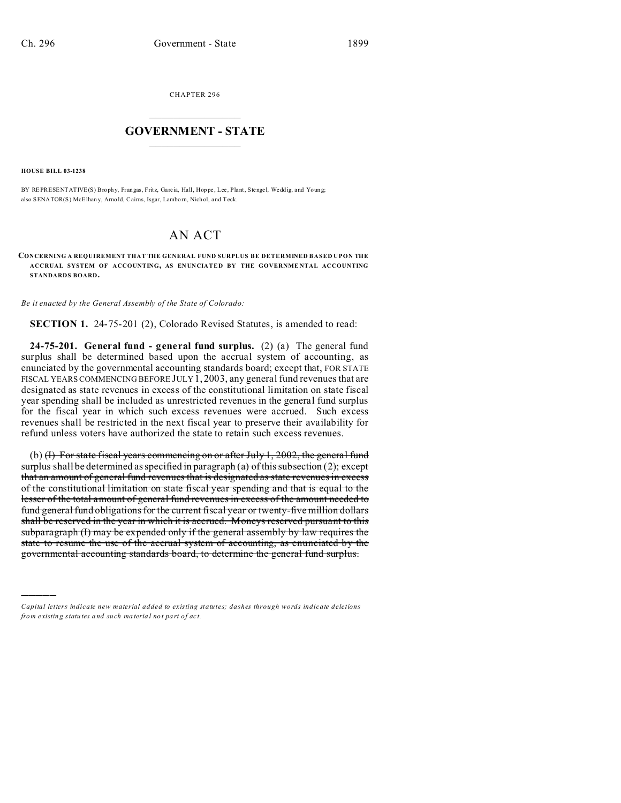CHAPTER 296  $\overline{\phantom{a}}$  , where  $\overline{\phantom{a}}$ 

## **GOVERNMENT - STATE**  $\_$   $\_$   $\_$   $\_$   $\_$   $\_$   $\_$   $\_$   $\_$

**HOUSE BILL 03-1238**

)))))

BY REPRESENTATIVE(S) Brophy, Frangas, Fritz, Garcia, Hall, Hoppe, Lee, Plant, Stengel, Weddig, and Young; also SENATOR(S) McElhany, Arno ld, Cairns, Isgar, Lamborn, Nich ol, and Teck.

## AN ACT

**CONCERNING A REQUIREMENT THAT THE GENERAL FUND SURPLUS BE DETERMINED BASED UPON THE ACCRUAL SYSTEM OF ACCOUNTING, AS EN UNCIATED BY THE GOVERNME NTAL ACCOUNTING STANDARDS BOARD.**

*Be it enacted by the General Assembly of the State of Colorado:*

**SECTION 1.** 24-75-201 (2), Colorado Revised Statutes, is amended to read:

**24-75-201. General fund - general fund surplus.** (2) (a) The general fund surplus shall be determined based upon the accrual system of accounting, as enunciated by the governmental accounting standards board; except that, FOR STATE FISCAL YEARS COMMENCING BEFORE JULY 1, 2003, any general fund revenues that are designated as state revenues in excess of the constitutional limitation on state fiscal year spending shall be included as unrestricted revenues in the general fund surplus for the fiscal year in which such excess revenues were accrued. Such excess revenues shall be restricted in the next fiscal year to preserve their availability for refund unless voters have authorized the state to retain such excess revenues.

(b) (I) For state fiscal years commencing on or after July 1, 2002, the general fund surplus shall be determined as specified in paragraph  $(a)$  of this subsection  $(2)$ ; except that an amount of general fund revenues that is designated as state revenues in excess of the constitutional limitation on state fiscal year spending and that is equal to the lesser of the total amount of general fund revenues in excess of the amount needed to fund general fund obligations for the current fiscal year or twenty-five million dollars shall be reserved in the year in which it is accrued. Moneys reserved pursuant to this subparagraph (I) may be expended only if the general assembly by law requires the state to resume the use of the accrual system of accounting, as enunciated by the governmental accounting standards board, to determine the general fund surplus.

*Capital letters indicate new material added to existing statutes; dashes through words indicate deletions from e xistin g statu tes a nd such ma teria l no t pa rt of ac t.*